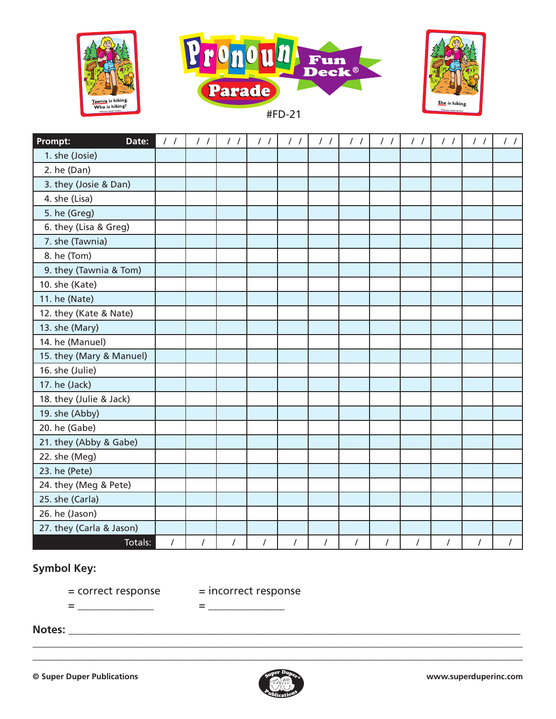





#FD-21

| Date:<br>Prompt:         | $\frac{1}{2}$  | $\frac{1}{2}$  | $\frac{1}{2}$ | $\frac{1}{2}$  | $\frac{1}{2}$  | $\frac{1}{2}$  | $\frac{1}{2}$ | $\frac{1}{2}$ | $\frac{1}{2}$ | $\frac{1}{2}$ | $\frac{1}{2}$ | $\frac{1}{2}$ |
|--------------------------|----------------|----------------|---------------|----------------|----------------|----------------|---------------|---------------|---------------|---------------|---------------|---------------|
| 1. she (Josie)           |                |                |               |                |                |                |               |               |               |               |               |               |
| 2. he (Dan)              |                |                |               |                |                |                |               |               |               |               |               |               |
| 3. they (Josie & Dan)    |                |                |               |                |                |                |               |               |               |               |               |               |
| 4. she (Lisa)            |                |                |               |                |                |                |               |               |               |               |               |               |
| 5. he (Greg)             |                |                |               |                |                |                |               |               |               |               |               |               |
| 6. they (Lisa & Greg)    |                |                |               |                |                |                |               |               |               |               |               |               |
| 7. she (Tawnia)          |                |                |               |                |                |                |               |               |               |               |               |               |
| 8. he (Tom)              |                |                |               |                |                |                |               |               |               |               |               |               |
| 9. they (Tawnia & Tom)   |                |                |               |                |                |                |               |               |               |               |               |               |
| 10. she (Kate)           |                |                |               |                |                |                |               |               |               |               |               |               |
| 11. he (Nate)            |                |                |               |                |                |                |               |               |               |               |               |               |
| 12. they (Kate & Nate)   |                |                |               |                |                |                |               |               |               |               |               |               |
| 13. she (Mary)           |                |                |               |                |                |                |               |               |               |               |               |               |
| 14. he (Manuel)          |                |                |               |                |                |                |               |               |               |               |               |               |
| 15. they (Mary & Manuel) |                |                |               |                |                |                |               |               |               |               |               |               |
| 16. she (Julie)          |                |                |               |                |                |                |               |               |               |               |               |               |
| 17. he (Jack)            |                |                |               |                |                |                |               |               |               |               |               |               |
| 18. they (Julie & Jack)  |                |                |               |                |                |                |               |               |               |               |               |               |
| 19. she (Abby)           |                |                |               |                |                |                |               |               |               |               |               |               |
| 20. he (Gabe)            |                |                |               |                |                |                |               |               |               |               |               |               |
| 21. they (Abby & Gabe)   |                |                |               |                |                |                |               |               |               |               |               |               |
| 22. she (Meg)            |                |                |               |                |                |                |               |               |               |               |               |               |
| 23. he (Pete)            |                |                |               |                |                |                |               |               |               |               |               |               |
| 24. they (Meg & Pete)    |                |                |               |                |                |                |               |               |               |               |               |               |
| 25. she (Carla)          |                |                |               |                |                |                |               |               |               |               |               |               |
| 26. he (Jason)           |                |                |               |                |                |                |               |               |               |               |               |               |
| 27. they (Carla & Jason) |                |                |               |                |                |                |               |               |               |               |               |               |
| Totals:                  | $\overline{I}$ | $\overline{I}$ | $\sqrt{2}$    | $\overline{I}$ | $\overline{I}$ | $\overline{I}$ | $\cal I$      | $\sqrt{2}$    | $\prime$      | $\cal I$      | $\cal I$      | $\prime$      |

## **Symbol Key:**

= correct response = incorrect response

= \_\_\_\_\_\_\_\_\_\_\_\_\_\_ = \_\_\_\_\_\_\_\_\_\_\_\_\_\_

**Notes:** \_\_\_\_\_\_\_\_\_\_\_\_\_\_\_\_\_\_\_\_\_\_\_\_\_\_\_\_\_\_\_\_\_\_\_\_\_\_\_\_\_\_\_\_\_\_\_\_\_\_\_\_\_\_\_\_\_\_\_\_\_\_\_\_\_\_\_\_\_\_\_\_\_\_\_\_\_\_\_\_\_\_\_



\_\_\_\_\_\_\_\_\_\_\_\_\_\_\_\_\_\_\_\_\_\_\_\_\_\_\_\_\_\_\_\_\_\_\_\_\_\_\_\_\_\_\_\_\_\_\_\_\_\_\_\_\_\_\_\_\_\_\_\_\_\_\_\_\_\_\_\_\_\_\_\_\_\_\_\_\_\_\_\_\_\_\_\_\_\_\_\_\_\_ \_\_\_\_\_\_\_\_\_\_\_\_\_\_\_\_\_\_\_\_\_\_\_\_\_\_\_\_\_\_\_\_\_\_\_\_\_\_\_\_\_\_\_\_\_\_\_\_\_\_\_\_\_\_\_\_\_\_\_\_\_\_\_\_\_\_\_\_\_\_\_\_\_\_\_\_\_\_\_\_\_\_\_\_\_\_\_\_\_\_